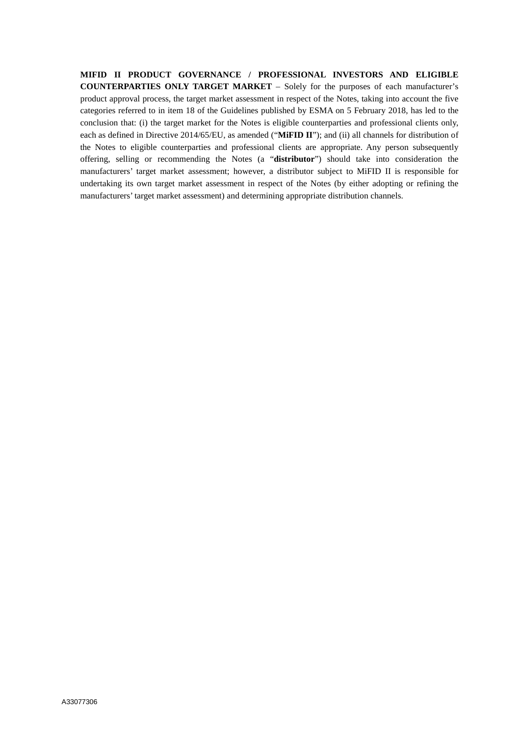**MIFID II PRODUCT GOVERNANCE / PROFESSIONAL INVESTORS AND ELIGIBLE COUNTERPARTIES ONLY TARGET MARKET** – Solely for the purposes of each manufacturer's product approval process, the target market assessment in respect of the Notes, taking into account the five categories referred to in item 18 of the Guidelines published by ESMA on 5 February 2018, has led to the conclusion that: (i) the target market for the Notes is eligible counterparties and professional clients only, each as defined in Directive 2014/65/EU, as amended ("**MiFID II**"); and (ii) all channels for distribution of the Notes to eligible counterparties and professional clients are appropriate. Any person subsequently offering, selling or recommending the Notes (a "**distributor**") should take into consideration the manufacturers' target market assessment; however, a distributor subject to MiFID II is responsible for undertaking its own target market assessment in respect of the Notes (by either adopting or refining the manufacturers' target market assessment) and determining appropriate distribution channels.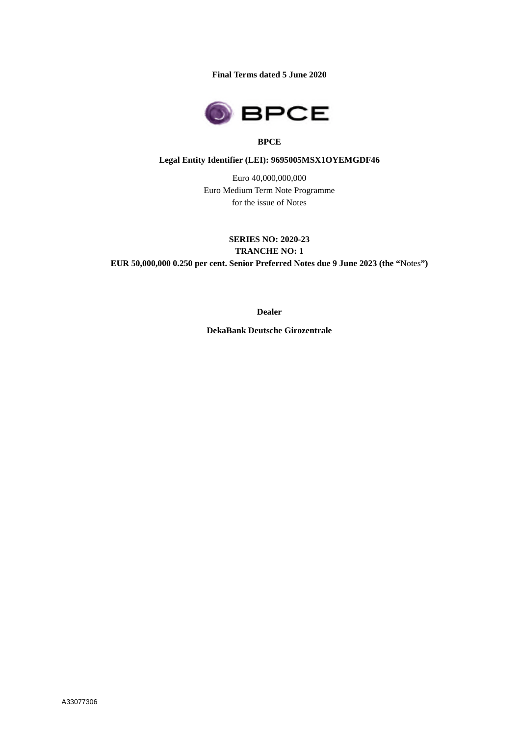**Final Terms dated 5 June 2020**



## **BPCE**

#### **Legal Entity Identifier (LEI): 9695005MSX1OYEMGDF46**

Euro 40,000,000,000 Euro Medium Term Note Programme for the issue of Notes

**SERIES NO: 2020-23 TRANCHE NO: 1 EUR 50,000,000 0.250 per cent. Senior Preferred Notes due 9 June 2023 (the "**Notes**")**

**Dealer**

**DekaBank Deutsche Girozentrale**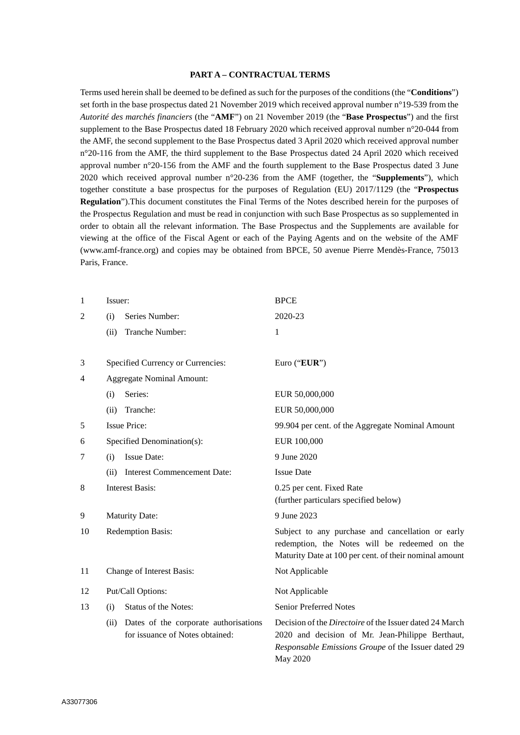#### **PART A – CONTRACTUAL TERMS**

Terms used herein shall be deemed to be defined as such for the purposes of the conditions (the "**Conditions**") set forth in the base prospectus dated 21 November 2019 which received approval number n°19-539 from the *Autorité des marchés financiers* (the "**AMF**") on 21 November 2019 (the "**Base Prospectus**") and the first supplement to the Base Prospectus dated 18 February 2020 which received approval number n°20-044 from the AMF, the second supplement to the Base Prospectus dated 3 April 2020 which received approval number n°20-116 from the AMF, the third supplement to the Base Prospectus dated 24 April 2020 which received approval number n°20-156 from the AMF and the fourth supplement to the Base Prospectus dated 3 June 2020 which received approval number n°20-236 from the AMF (together, the "**Supplements**"), which together constitute a base prospectus for the purposes of Regulation (EU) 2017/1129 (the "**Prospectus Regulation**").This document constitutes the Final Terms of the Notes described herein for the purposes of the Prospectus Regulation and must be read in conjunction with such Base Prospectus as so supplemented in order to obtain all the relevant information. The Base Prospectus and the Supplements are available for viewing at the office of the Fiscal Agent or each of the Paying Agents and on the website of the AMF (www.amf-france.org) and copies may be obtained from BPCE, 50 avenue Pierre Mendès-France, 75013 Paris, France.

| 1              | Issuer:                                                                          | <b>BPCE</b>                                                                                                                                                                           |  |
|----------------|----------------------------------------------------------------------------------|---------------------------------------------------------------------------------------------------------------------------------------------------------------------------------------|--|
| $\overline{2}$ | Series Number:<br>(i)                                                            | 2020-23                                                                                                                                                                               |  |
|                | Tranche Number:<br>(ii)                                                          | 1                                                                                                                                                                                     |  |
|                |                                                                                  |                                                                                                                                                                                       |  |
| 3              | Specified Currency or Currencies:                                                | Euro ("EUR")                                                                                                                                                                          |  |
| 4              | <b>Aggregate Nominal Amount:</b>                                                 |                                                                                                                                                                                       |  |
|                | Series:<br>(i)                                                                   | EUR 50,000,000                                                                                                                                                                        |  |
|                | Tranche:<br>(ii)                                                                 | EUR 50,000,000                                                                                                                                                                        |  |
| 5              | <b>Issue Price:</b>                                                              | 99.904 per cent. of the Aggregate Nominal Amount                                                                                                                                      |  |
| 6              | Specified Denomination(s):                                                       | EUR 100,000                                                                                                                                                                           |  |
| 7              | <b>Issue Date:</b><br>(i)                                                        | 9 June 2020                                                                                                                                                                           |  |
|                | <b>Interest Commencement Date:</b><br>(ii)                                       | <b>Issue Date</b>                                                                                                                                                                     |  |
| 8              | <b>Interest Basis:</b>                                                           | 0.25 per cent. Fixed Rate<br>(further particulars specified below)                                                                                                                    |  |
| 9              | <b>Maturity Date:</b>                                                            | 9 June 2023                                                                                                                                                                           |  |
| 10             | Redemption Basis:                                                                | Subject to any purchase and cancellation or early<br>redemption, the Notes will be redeemed on the<br>Maturity Date at 100 per cent. of their nominal amount                          |  |
| 11             | Change of Interest Basis:                                                        | Not Applicable                                                                                                                                                                        |  |
| 12             | Put/Call Options:                                                                | Not Applicable                                                                                                                                                                        |  |
| 13             | <b>Status of the Notes:</b><br>(i)                                               | <b>Senior Preferred Notes</b>                                                                                                                                                         |  |
|                | Dates of the corporate authorisations<br>(ii)<br>for issuance of Notes obtained: | Decision of the <i>Directoire</i> of the Issuer dated 24 March<br>2020 and decision of Mr. Jean-Philippe Berthaut,<br>Responsable Emissions Groupe of the Issuer dated 29<br>May 2020 |  |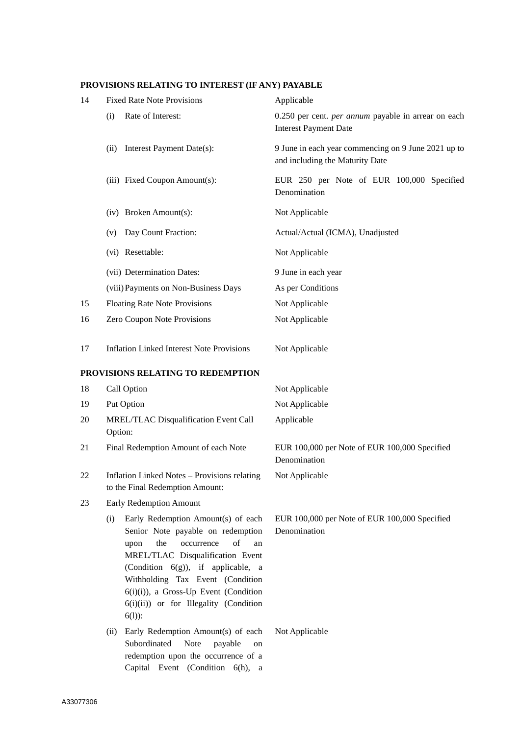# **PROVISIONS RELATING TO INTEREST (IF ANY) PAYABLE**

| 14 | <b>Fixed Rate Note Provisions</b>                                                                                                                                                                                                                                                                                                         | Applicable                                                                             |  |
|----|-------------------------------------------------------------------------------------------------------------------------------------------------------------------------------------------------------------------------------------------------------------------------------------------------------------------------------------------|----------------------------------------------------------------------------------------|--|
|    | Rate of Interest:<br>(i)                                                                                                                                                                                                                                                                                                                  | 0.250 per cent. per annum payable in arrear on each<br><b>Interest Payment Date</b>    |  |
|    | Interest Payment Date(s):<br>(ii)                                                                                                                                                                                                                                                                                                         | 9 June in each year commencing on 9 June 2021 up to<br>and including the Maturity Date |  |
|    | (iii) Fixed Coupon Amount(s):                                                                                                                                                                                                                                                                                                             | EUR 250 per Note of EUR 100,000 Specified<br>Denomination                              |  |
|    | (iv) Broken Amount(s):                                                                                                                                                                                                                                                                                                                    | Not Applicable                                                                         |  |
|    | Day Count Fraction:<br>(v)                                                                                                                                                                                                                                                                                                                | Actual/Actual (ICMA), Unadjusted                                                       |  |
|    | (vi) Resettable:                                                                                                                                                                                                                                                                                                                          | Not Applicable                                                                         |  |
|    | (vii) Determination Dates:                                                                                                                                                                                                                                                                                                                | 9 June in each year                                                                    |  |
|    | (viii) Payments on Non-Business Days                                                                                                                                                                                                                                                                                                      | As per Conditions                                                                      |  |
| 15 | <b>Floating Rate Note Provisions</b>                                                                                                                                                                                                                                                                                                      | Not Applicable                                                                         |  |
| 16 | Zero Coupon Note Provisions                                                                                                                                                                                                                                                                                                               | Not Applicable                                                                         |  |
| 17 | <b>Inflation Linked Interest Note Provisions</b>                                                                                                                                                                                                                                                                                          | Not Applicable                                                                         |  |
|    | PROVISIONS RELATING TO REDEMPTION                                                                                                                                                                                                                                                                                                         |                                                                                        |  |
| 18 | Call Option                                                                                                                                                                                                                                                                                                                               | Not Applicable                                                                         |  |
| 19 | Put Option                                                                                                                                                                                                                                                                                                                                | Not Applicable                                                                         |  |
| 20 | MREL/TLAC Disqualification Event Call<br>Option:                                                                                                                                                                                                                                                                                          | Applicable                                                                             |  |
| 21 | Final Redemption Amount of each Note                                                                                                                                                                                                                                                                                                      | EUR 100,000 per Note of EUR 100,000 Specified<br>Denomination                          |  |
| 22 | Inflation Linked Notes - Provisions relating<br>to the Final Redemption Amount:                                                                                                                                                                                                                                                           | Not Applicable                                                                         |  |
| 23 | Early Redemption Amount                                                                                                                                                                                                                                                                                                                   |                                                                                        |  |
|    | Early Redemption Amount(s) of each<br>(i)<br>Senior Note payable on redemption<br>the<br>of<br>occurrence<br>upon<br>an<br>MREL/TLAC Disqualification Event<br>(Condition $6(g)$ ), if applicable, a<br>Withholding Tax Event (Condition<br>$6(i)(i)$ , a Gross-Up Event (Condition<br>6(i)(ii)) or for Illegality (Condition<br>$6(1)$ : | EUR 100,000 per Note of EUR 100,000 Specified<br>Denomination                          |  |
|    | Early Redemption Amount(s) of each<br>(ii)<br>Subordinated<br>Note<br>payable<br>on<br>redemption upon the occurrence of a<br>Capital Event (Condition 6(h), a                                                                                                                                                                            | Not Applicable                                                                         |  |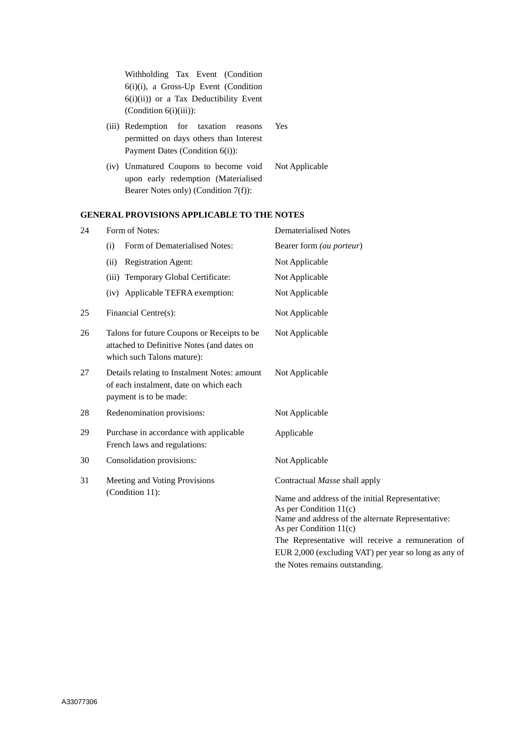Withholding Tax Event (Condition 6(i)(i), a Gross-Up Event (Condition 6(i)(ii)) or a Tax Deductibility Event  $(Condition 6(i)(iii))$ :

- (iii) Redemption for taxation reasons permitted on days others than Interest Payment Dates (Condition 6(i)):
- (iv) Unmatured Coupons to become void upon early redemption (Materialised Bearer Notes only) (Condition 7(f)):

# **GENERAL PROVISIONS APPLICABLE TO THE NOTES**

| 24 | Form of Notes:                                                                                                          | <b>Dematerialised Notes</b>                                                                                                                                                                                                                                               |
|----|-------------------------------------------------------------------------------------------------------------------------|---------------------------------------------------------------------------------------------------------------------------------------------------------------------------------------------------------------------------------------------------------------------------|
|    | Form of Dematerialised Notes:<br>(i)                                                                                    | Bearer form (au porteur)                                                                                                                                                                                                                                                  |
|    | <b>Registration Agent:</b><br>(ii)                                                                                      | Not Applicable                                                                                                                                                                                                                                                            |
|    | (iii) Temporary Global Certificate:                                                                                     | Not Applicable                                                                                                                                                                                                                                                            |
|    | (iv) Applicable TEFRA exemption:                                                                                        | Not Applicable                                                                                                                                                                                                                                                            |
| 25 | Financial Centre(s):                                                                                                    | Not Applicable                                                                                                                                                                                                                                                            |
| 26 | Talons for future Coupons or Receipts to be<br>attached to Definitive Notes (and dates on<br>which such Talons mature): | Not Applicable                                                                                                                                                                                                                                                            |
| 27 | Details relating to Instalment Notes: amount<br>of each instalment, date on which each<br>payment is to be made:        | Not Applicable                                                                                                                                                                                                                                                            |
| 28 | Redenomination provisions:                                                                                              | Not Applicable                                                                                                                                                                                                                                                            |
| 29 | Purchase in accordance with applicable<br>French laws and regulations:                                                  | Applicable                                                                                                                                                                                                                                                                |
| 30 | Consolidation provisions:                                                                                               | Not Applicable                                                                                                                                                                                                                                                            |
| 31 | Meeting and Voting Provisions<br>(Condition 11):                                                                        | Contractual Masse shall apply                                                                                                                                                                                                                                             |
|    |                                                                                                                         | Name and address of the initial Representative:<br>As per Condition $11(c)$<br>Name and address of the alternate Representative:<br>As per Condition $11(c)$<br>The Representative will receive a remuneration of<br>EUR 2,000 (excluding VAT) per year so long as any of |

the Notes remains outstanding.

Yes

Not Applicable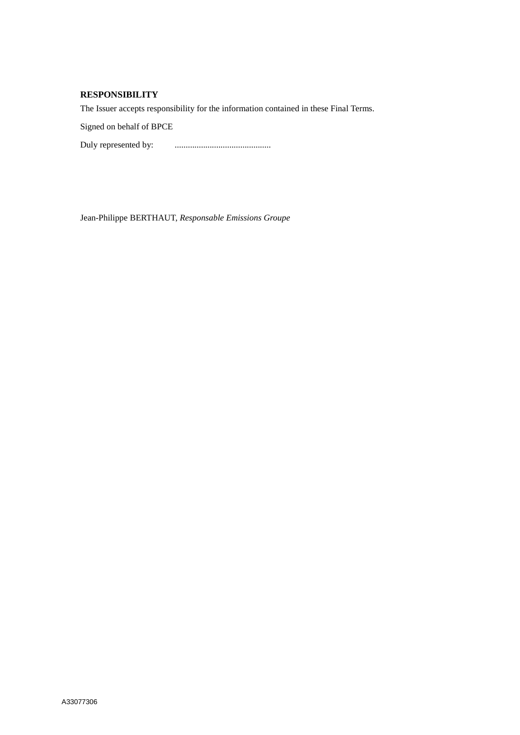# **RESPONSIBILITY**

The Issuer accepts responsibility for the information contained in these Final Terms.

Signed on behalf of BPCE

Duly represented by: ............................................

Jean-Philippe BERTHAUT, *Responsable Emissions Groupe*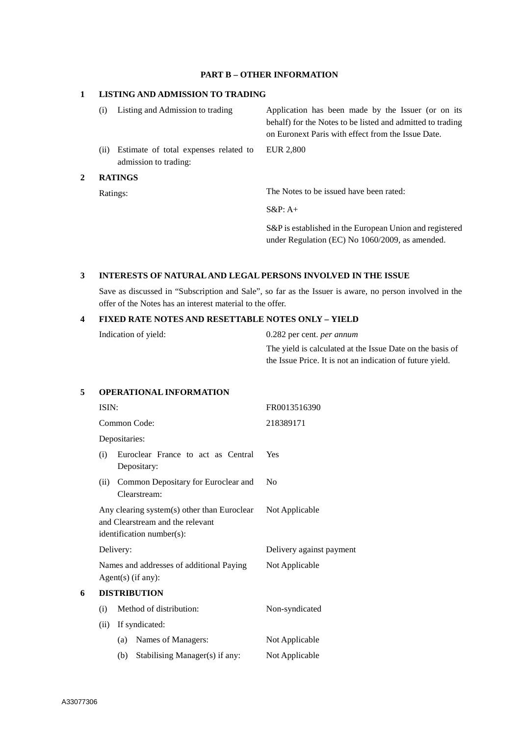### **PART B – OTHER INFORMATION**

### **1 LISTING AND ADMISSION TO TRADING**

|   | $\left( i\right)$ | Listing and Admission to trading                               | Application has been made by the Issuer (or on its<br>behalf) for the Notes to be listed and admitted to trading<br>on Euronext Paris with effect from the Issue Date. |
|---|-------------------|----------------------------------------------------------------|------------------------------------------------------------------------------------------------------------------------------------------------------------------------|
|   | (i)               | Estimate of total expenses related to<br>admission to trading: | EUR 2,800                                                                                                                                                              |
| 2 | <b>RATINGS</b>    |                                                                |                                                                                                                                                                        |
|   | Ratings:          |                                                                | The Notes to be issued have been rated:                                                                                                                                |

S&P: A+

S&P is established in the European Union and registered under Regulation (EC) No 1060/2009, as amended.

## **3 INTERESTS OF NATURAL AND LEGAL PERSONS INVOLVED IN THE ISSUE**

Save as discussed in "Subscription and Sale", so far as the Issuer is aware, no person involved in the offer of the Notes has an interest material to the offer.

#### **4 FIXED RATE NOTES AND RESETTABLE NOTES ONLY – YIELD**

| Indication of yield: | 0.282 per cent. <i>per annum</i> |
|----------------------|----------------------------------|
|----------------------|----------------------------------|

The yield is calculated at the Issue Date on the basis of the Issue Price. It is not an indication of future yield.

## **5 OPERATIONAL INFORMATION**

|   | ISIN:<br>Common Code:                                                                                                                                                                       |                                                     | FR0013516390             |
|---|---------------------------------------------------------------------------------------------------------------------------------------------------------------------------------------------|-----------------------------------------------------|--------------------------|
|   |                                                                                                                                                                                             |                                                     | 218389171                |
|   |                                                                                                                                                                                             | Depositaries:                                       |                          |
|   | (i)                                                                                                                                                                                         | Euroclear France to act as Central<br>Depositary:   | Yes                      |
|   | (ii)                                                                                                                                                                                        | Common Depositary for Euroclear and<br>Clearstream: | N <sub>0</sub>           |
|   | Any clearing system(s) other than Euroclear<br>and Clearstream and the relevant<br>identification number(s):<br>Delivery:<br>Names and addresses of additional Paying<br>Agent(s) (if any): |                                                     | Not Applicable           |
|   |                                                                                                                                                                                             |                                                     | Delivery against payment |
|   |                                                                                                                                                                                             |                                                     | Not Applicable           |
| 6 | <b>DISTRIBUTION</b>                                                                                                                                                                         |                                                     |                          |
|   | (i)                                                                                                                                                                                         | Method of distribution:                             | Non-syndicated           |
|   | (ii)                                                                                                                                                                                        | If syndicated:                                      |                          |
|   |                                                                                                                                                                                             | Names of Managers:<br>(a)                           | Not Applicable           |
|   |                                                                                                                                                                                             | Stabilising Manager(s) if any:<br>(b)               | Not Applicable           |